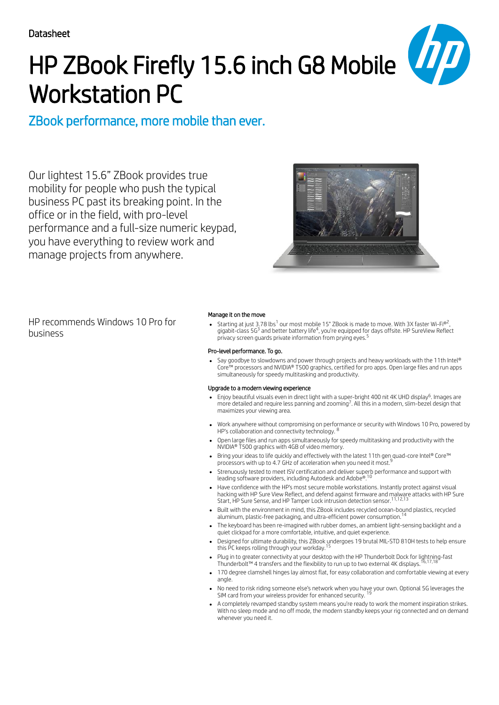

# HP ZBook Firefly 15.6 inch G8 Mobile Workstation PC

ZBook performance, more mobile than ever.

Our lightest 15.6" ZBook provides true mobility for people who push the typical business PC past its breaking point. In the office or in the field, with pro-level performance and a full-size numeric keypad, you have everything to review work and manage projects from anywhere.



HP recommends Windows 10 Pro for business

### Manage it on the move

Starting at just 3.78 lbs $^1$  our most mobile 15" ZBook is made to move. With 3X faster Wi-Fi®2, gigabit-class 5G<sup>3</sup> and better battery life<sup>4</sup>, you're equipped for days offsite. HP SureView Reflect privacy screen guards private information from prying eyes. 5

### Pro-level performance. To go.

Say goodbye to slowdowns and power through projects and heavy workloads with the 11th Intel® Core™ processors and NVIDIA® T500 graphics, certified for pro apps. Open large files and run apps simultaneously for speedy multitasking and productivity.

### Upgrade to a modern viewing experience

- Enjoy beautiful visuals even in direct light with a super-bright 400 nit 4K UHD display<sup>6</sup>. Images are more detailed and require less panning and zooming<sup>7</sup>. All this in a modern, slim-bezel design that maximizes your viewing area.
- Work anywhere without compromising on performance or security with Windows 10 Pro, powered by<br>HP's collaboration and connectivity technology <sup>8</sup> HP's collaboration and connectivity technology.
- Open large files and run apps simultaneously for speedy multitasking and productivity with the NVIDIA® T500 graphics with 4GB of video memory.
- Bring your ideas to life quickly and effectively with the latest 11th gen quad-core Intel® Core™ processors with up to 4.7 GHz of acceleration when you need it most. 9
- Strenuously tested to meet ISV certification and deliver superb performance and support with leading software providers, including Autodesk and Adobe®. 10
- Have confidence with the HP's most secure mobile workstations. Instantly protect against visual hacking with HP Sure View Reflect, and defend against firmware and malware attacks with HP Sure Start, HP Sure Sense, and HP Tamper Lock intrusion detection sensor. 11,12,13
- Built with the environment in mind, this ZBook includes recycled ocean-bound plastics, recycled aluminum, plastic-free packaging, and ultra-efficient power consumption. 14
- The keyboard has been re-imagined with rubber domes, an ambient light-sensing backlight and a quiet clickpad for a more comfortable, intuitive, and quiet experience.
- Designed for ultimate durability, this ZBook undergoes 19 brutal MIL-STD 810H tests to help ensure.<br>this PC keeps rolling through vour workday <sup>15</sup> this PC keeps rolling through your workday.
- Plug in to greater connectivity at your desktop with the HP Thunderbolt Dock for lightning-fast<br>Thunderbolt™ 4 transfers and the flevibility to run up to two external 4K displays <sup>16,17,18</sup> Thunderbolt™ 4 transfers and the flexibility to run up to two external 4K displays.
- 170 degree clamshell hinges lay almost flat, for easy collaboration and comfortable viewing at every angle.
- No need to risk riding someone else's network when you have your own. Optional 5G leverages the 19SIM card from your wireless provider for enhanced security.
- A completely revamped standby system means you're ready to work the moment inspiration strikes. With no sleep mode and no off mode, the modern standby keeps your rig connected and on demand whenever you need it.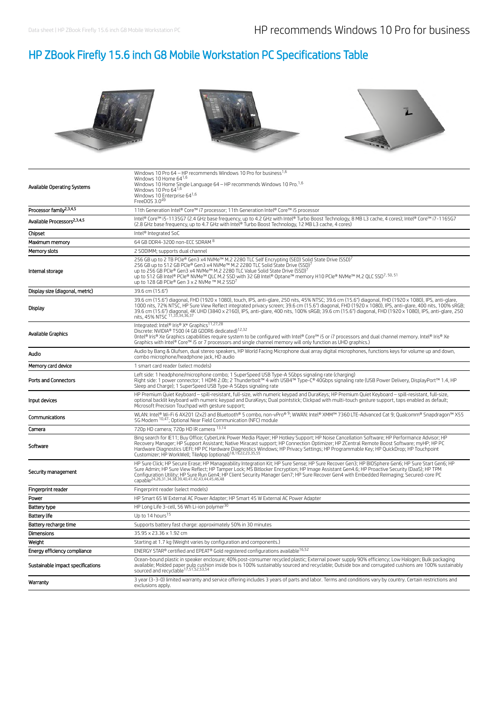## HP ZBook Firefly 15.6 inch G8 Mobile Workstation PC Specifications Table







| Available Operating Systems             | Windows 10 Pro 64 - HP recommends Windows 10 Pro for business <sup>1,6</sup><br>Windows 10 Home $64^{1,6}$<br>Windows 10 Home Single Language 64 - HP recommends Windows 10 Pro. <sup>1,6</sup><br>Windows 10 Pro 641,6<br>Windows 10 Enterprise 641,6<br>FreeDOS 3.049                                                                                                                                                                                                                                                                                    |
|-----------------------------------------|------------------------------------------------------------------------------------------------------------------------------------------------------------------------------------------------------------------------------------------------------------------------------------------------------------------------------------------------------------------------------------------------------------------------------------------------------------------------------------------------------------------------------------------------------------|
| Processor family <sup>2,3,4,5</sup>     | 11th Generation Intel® Core™ i7 processor; 11th Generation Intel® Core™ i5 processor                                                                                                                                                                                                                                                                                                                                                                                                                                                                       |
| Available Processors <sup>2,3,4,5</sup> | Intel® Core™ i5-1135G7 (2.4 GHz base frequency, up to 4.2 GHz with Intel® Turbo Boost Technology, 8 MB L3 cache, 4 cores); Intel® Core™ i7-1165G7<br>(2.8 GHz base frequency, up to 4.7 GHz with Intel® Turbo Boost Technology, 12 MB L3 cache, 4 cores)                                                                                                                                                                                                                                                                                                   |
| Chipset                                 | Intel® Integrated SoC                                                                                                                                                                                                                                                                                                                                                                                                                                                                                                                                      |
| Maximum memory                          | 64 GB DDR4-3200 non-ECC SDRAM 8                                                                                                                                                                                                                                                                                                                                                                                                                                                                                                                            |
| Memory slots                            | 2 SODIMM; supports dual channel                                                                                                                                                                                                                                                                                                                                                                                                                                                                                                                            |
| Internal storage                        | 256 GB up to 2 TB PCle® Gen3 x4 NVMe™ M.2 2280 TLC Self Encrypting (SED) Solid State Drive (SSD) <sup>7</sup><br>256 GB up to 512 GB PCIe® Gen3 x4 NVMe™ M.2 2280 TLC Solid State Drive (SSD)<br>up to 256 GB PCIe® Gen3 x4 NVMe™ M.2 2280 TLC Value Solid State Drive (SSD) <sup>7</sup><br>up to 512 GB Intel® PCIe® NVMe™ QLC M.2 SSD with 32 GB Intel® Optane™ memory H10 PCIe® NVMe™ M.2 QLC SSD <sup>7, 50, 51</sup><br>up to 128 GB PCIe® Gen 3 x 2 NVMe ™ M.2 SSD7                                                                                 |
| Display size (diagonal, metric)         | 39.6 cm (15.6")                                                                                                                                                                                                                                                                                                                                                                                                                                                                                                                                            |
| Display                                 | 39.6 cm (15.6") diagonal, FHD (1920 x 1080), touch, IPS, anti-glare, 250 nits, 45% NTSC; 39.6 cm (15.6") diagonal, FHD (1920 x 1080), IPS, anti-glare,<br>1000 nits, 72% NTSC, HP Sure View Reflect integrated privacy screen; 39.6 cm (15.6") diagonal, FHD (1920 x 1080), IPS, anti-glare, 400 nits, 100% sRGB;<br>39.6 cm (15.6") diagonal, 4K UHD (3840 x 2160), IPS, anti-glare, 400 nits, 100% sRGB; 39.6 cm (15.6") diagonal, FHD (1920 x 1080), IPS, anti-glare, 250<br>nits, 45% NTSC <sup>11,33,34,36,37</sup>                                   |
| Available Graphics                      | Integrated: Intel® Iris® Xe Graphics <sup>11,27,28</sup><br>Discrete: NVIDIA® T500 (4 GB GDDR6 dedicated) <sup>12,32</sup><br>(Intel® Iris® Xe Graphics capabilities require system to be configured with Intel® Core™ i5 or i7 processors and dual channel memory. Intel® Iris® Xe<br>Graphics with Intel® Core™ i5 or 7 processors and single channel memory will only function as UHD graphics.)                                                                                                                                                        |
| Audio                                   | Audio by Bang & Olufsen, dual stereo speakers, HP World Facing Microphone dual array digital microphones, functions keys for volume up and down,<br>combo microphone/headphone jack, HD audio                                                                                                                                                                                                                                                                                                                                                              |
| Memory card device                      | 1 smart card reader (select models)                                                                                                                                                                                                                                                                                                                                                                                                                                                                                                                        |
| Ports and Connectors                    | Left side: 1 headphone/microphone combo; 1 SuperSpeed USB Type-A 5Gbps signaling rate (charging)<br>Right side: 1 power connector; 1 HDMI 2.0b; 2 Thunderbolt™ 4 with USB4™ Type-C® 40Gbps signaling rate (USB Power Delivery, DisplayPort™ 1.4, HP<br>Sleep and Charge); 1 SuperSpeed USB Type-A 5Gbps signaling rate                                                                                                                                                                                                                                     |
| Input devices                           | HP Premium Quiet Keyboard - spill-resistant, full-size, with numeric keypad and DuraKeys; HP Premium Quiet Keyboard - spill-resistant, full-size,<br>optional backlit keyboard with numeric keypad and DuraKeys; Dual pointstick; Clickpad with multi-touch gesture support, taps enabled as default;<br>Microsoft Precision Touchpad with gesture support;                                                                                                                                                                                                |
| Communications                          | WLAN: Intel® Wi-Fi 6 AX201 (2x2) and Bluetooth® 5 combo, non-vPro® <sup>9</sup> ; WWAN: Intel® XMM™ 7360 LTE-Advanced Cat 9; Qualcomm® Snapdragon™ X55<br>5G Modern <sup>10,47</sup> ; Optional Near Field Communication (NFC) module                                                                                                                                                                                                                                                                                                                      |
| Camera                                  | 720p HD camera; 720p HD IR camera 13,14                                                                                                                                                                                                                                                                                                                                                                                                                                                                                                                    |
| Software                                | Bing search for IE11; Buy Office; CyberLink Power Media Player; HP Hotkey Support; HP Noise Cancellation Software; HP Performance Advisor; HP<br>Recovery Manager; HP Support Assistant; Native Miracast support; HP Connection Optimizer; HP ZCentral Remote Boost Software; myHP; HP PC<br>Hardware Diagnostics UEFI; HP PC Hardware Diagnostics Windows; HP Privacy Settings; HP Programmable Key; HP QuickDrop; HP Touchpoint<br>Customizer; HP WorkWell; TileApp (optional) <sup>18,19,22,23,35,55</sup>                                              |
| Security management                     | HP Sure Click; HP Secure Erase; HP Manageability Integration Kit; HP Sure Sense; HP Sure Recover Gen3; HP BIOSphere Gen6; HP Sure Start Gen6; HP<br>Sure Admin; HP Sure View Reflect; HP Tamper Lock; MS Bitlocker Encryption; HP Image Assistant Gen4.6; HP Proactive Security (DaaS); HP TPM<br>Configuration Utility: HP Sure Run Gen4: HP Client Security Manager Gen7: HP Sure Recover Gen4 with Embedded Reimaging; Secured-core PC<br>Capable <sup>24,26,31,34,38,39,40,41,42,43,44,45,46,48</sup><br>Capable <sup>24,26,31,34,38,39,40,41,42</sup> |
| Fingerprint reader                      | Fingerprint reader (select models)                                                                                                                                                                                                                                                                                                                                                                                                                                                                                                                         |
| Power                                   | HP Smart 65 W External AC Power Adapter; HP Smart 45 W External AC Power Adapter                                                                                                                                                                                                                                                                                                                                                                                                                                                                           |
| <b>Battery type</b>                     | HP Long Life 3-cell, 56 Wh Li-ion polymer <sup>30</sup>                                                                                                                                                                                                                                                                                                                                                                                                                                                                                                    |
| Battery life                            | Up to 14 hours <sup>15</sup>                                                                                                                                                                                                                                                                                                                                                                                                                                                                                                                               |
| Battery recharge time                   | Supports battery fast charge: approximately 50% in 30 minutes                                                                                                                                                                                                                                                                                                                                                                                                                                                                                              |
| <b>Dimensions</b>                       | 35.95 x 23.36 x 1.92 cm                                                                                                                                                                                                                                                                                                                                                                                                                                                                                                                                    |
| Weight                                  | Starting at 1.7 kg (Weight varies by configuration and components.)                                                                                                                                                                                                                                                                                                                                                                                                                                                                                        |
| Energy efficiency compliance            | ENERGY STAR® certified and EPEAT® Gold registered configurations available <sup>16,52</sup>                                                                                                                                                                                                                                                                                                                                                                                                                                                                |
| Sustainable impact specifications       | Ocean-bound plastic in speaker enclosure; 40% post-consumer recycled plastic; External power supply 90% efficiency; Low Halogen; Bulk packaging<br>available; Molded paper pulp cushion inside box is 100% sustainably sourced and recyclable; Outside box and corrugated cushions are 100% sustainably sourced and recyclable <sup>17,51,52,53,54</sup>                                                                                                                                                                                                   |
| Warranty                                | 3 year (3-3-0) limited warranty and service offering includes 3 years of parts and labor. Terms and conditions vary by country. Certain restrictions and<br>exclusions apply.                                                                                                                                                                                                                                                                                                                                                                              |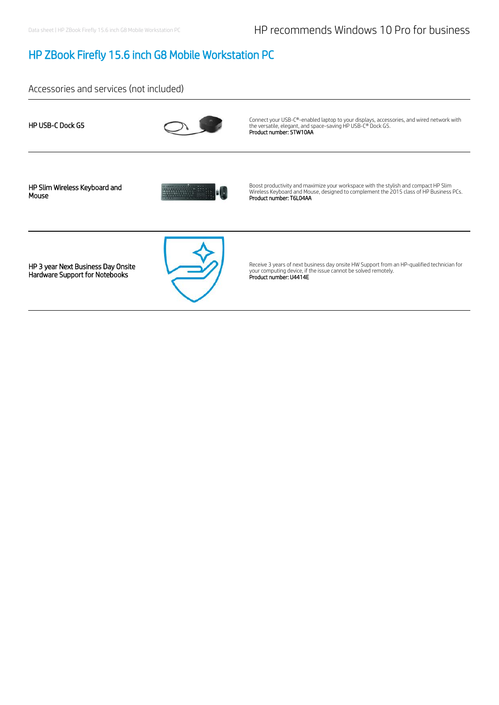### HP ZBook Firefly 15.6 inch G8 Mobile Workstation PC

Accessories and services (not included)

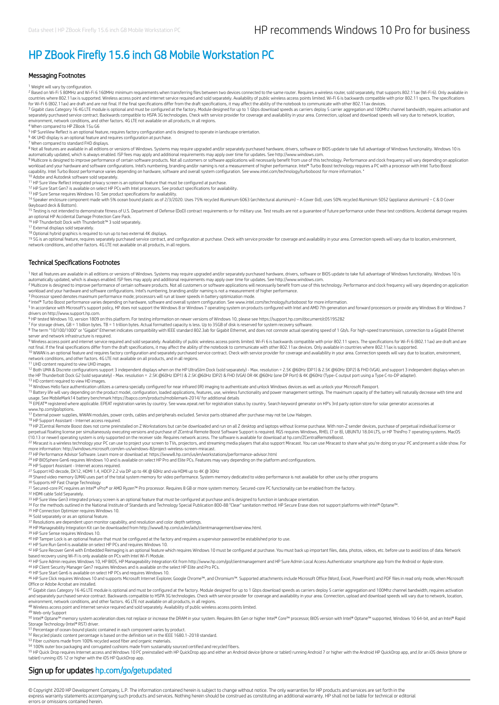### HP ZBook Firefly 15.6 inch G8 Mobile Workstation PC

#### Messaging Footnotes

<sup>1</sup> Weight will vary by configuration.

<sup>2</sup> Based on Wi-Fi 5 80MHz and Wi-Fi 6 160MHz minimum requirements when transferring files between two devices connected to the same router. Requires a wireless router, sold separately, that supports 802.11ax (Wi-Fi 6). On countries where 802.11ax is supported. Wireless access point and internet service required and sold separately. Availability of public wireless access points limited. Wi-Fi 6 is backwards compatible with prior 802.11 specs

<sup>3</sup> Gigabit class Category 16 4G LTE module is optional and must be configured at the factory. Module designed for up to 1 Gbps download speeds as carriers deploy 5 carrier aggregation and 100Mhz channel bandwidth, require environment, network conditions, and other factors. 4G LTE not available on all products, in all regions.

<sup>4</sup> When compared to HP ZBook 15u G6<br><sup>5</sup> HP SureView Reflect is an optional feature, requires factory configuration and is designed to operate in landscape orientation.

<sup>6</sup> 4K UHD display is an optional feature and requires configuration at purchase.<br><sup>7</sup> When compared to standard FHD displays.

<sup>8</sup> Not all features are available in all editions or versions of Windows. Systems may require upgraded and/or separately purchased hardware, drivers, software or BIOS update to take full advantage of Windows functionality

automatically updated, which is always enabled. ISP fees may apply and additional requirements may apply over time for updates. See http://www.windows.com.<br><sup>9</sup> Multicore is designed to improve performance of certain softwa workload and your hardware and software configurations. Intel's numbering, branding and/or naming is not a measurement of higher performance. Intel® Turbo Boost technology requires a PC with a processor with Intel Turbo Bo

10 Adobe and Autodesk software sold separately.

<sup>11</sup> HP Sure View Reflect integrated privacy screen is an optional feature that must be configured at purchase.<br><sup>12</sup> HP Sure Start Gen7 is available on select HP PCs with Intel processors. See product specifications for av

<sup>13</sup> HP Sure Sense requires Windows 10. See product specifications for availability.<br><sup>14</sup> Speaker enclosure component made with 5% ocean bound plastic as of 2/3/2020. Uses 75% recycled Aluminum 6063 (architectural aluminum (keyboard deck & Bottom).

<sup>15</sup> Testing is not intended to demonstrate fitness of U.S. Department of Defense (DoD) contract requirements or for military use. Test results are not a guarantee of future performance under these test conditions. Acciden

<sup>16</sup> HP Thunderbolt Dock with Thunderbolt™ 3 sold separately.<br><sup>17</sup> External displays sold separately.

18 19

<sup>18</sup> Optional hybrid graphics is required to run up to two external 4K displays.<br><sup>19</sup> SG is an optional feature, equal to worker and to onliguration at purchase. Check with service provider for coverage and availability in

#### Technical Specifications Footnotes

<sup>1</sup> Not all features are available in all editions or versions of Windows. Systems may require upgraded and/or separately purchased hardware, drivers, software or BIOS update to take full advantage of Windows functionality 1

workload and your hardware and software configurations. Intel's numbering, branding and/or naming is not a measurement of higher performance.<br><sup>3</sup> Processor speed denotes maximum performance mode; processors will run at low 2

<sup>4</sup> Intel® Turbo Boost performance varies depending on hardware, software and overall system configuration. See www.intel.com/technology/turboboost for more information.<br><sup>5</sup> In accordance with Microsoft's support policy, H

drivers on http://www.support.hp.com.

<sup>6</sup> HP tested Windows 10, version 1809 on this platform. For testing information on newer versions of Windows 10, please see https://support.hp.com/document/c05195282<br><sup>7</sup> For storage drives, GB = 1 billion bytes. TB = 1 tr

<sup>8</sup> The term "10/100/1000" or "Gigabit" Ethernet indicates compatibility with IEEE standard 802.3ab for Gigabit Ethernet, and does not connote actual operating speed of 1 Gb/s. For high-speed transmission, connection to a

9 Wireless access point and internet service required and sold separately. Availability of public wireless access points limited. Wi-Fi 6 is backwards compatible with prior 802.11 specs. The specifications for Wi-Fi 6 (802 not final. If the final specifications differ from the draft specifications, it may affect the ability of the notebook to communicate with other 802.11ax devices. Only available in countries where 802.11ax is supported.<br><sup>1</sup>

network conditions, and other factors. 4G LTE not available on all products, and in all regions. 11 UHD content required to view UHD images.

12 Both UMA & Discrete configurations support 3 independent displays when on the HP UltraSlim Dock (sold separately) - Max. resolution = 2.5K @60Hz (DP1) & 2.5K @60Hz (DP2) & FHD (VGA), and support 3 independent displays w the HP Thunderbolt Dock G2 (sold separately) - Max. resolution = 2.5K @60Hz (DP1) & 2.5K @60Hz (DP2) & FHD (VGA) OR 4K @60Hz (one DP Port) & 4K @60Hz (Type-C output port using a Type C-to-DP adapter).<br><sup>13</sup> HD content requi

<sup>14</sup> Windows Hello face authentication utilizes a camera specially configured for near infrared (IR) imaging to authenticate and unlock Windows devices as well as unlock your Microsoft Passport.<br><sup>15</sup> Battery life will vary 14 15

<sup>16</sup> EPEAT® registered where applicable. EPEAT registration varies by country. See www.epeat.net for registration status by country. Search keyword generator on HP's 3rd party option store for solar generator accessories a www.hp.com/go/options.

<sup>17</sup> External power supplies, WWAN modules, power cords, cables and peripherals excluded. Service parts obtained after purchase may not be Low Halogen.<br><sup>18</sup> HP Support Assistant - Internet access required.

<sup>19</sup> HP ZCentral Remote Boost does not come preinstalled on Z Workstations but can be downloaded and run on all Z desktop and laptops without license purchase. With non-Z sender devices, purchase of perpetual individual li 19

22 Miracast is a wireless technology your PC can use to project your screen to TVs, projectors, and streaming media players that also support Miracast. You can use Miracast to share what you're doing on your PC and present 22

23

<sup>24</sup> HP BIOSphere Gen6 requires Windows 10 and is available on select HP Pro and Elite PCs. Features may vary depending on the platform and configurations.

26 HP Support Assistant - Internet access required.

<sup>27</sup> Support HD decode, DX12, HDMI 1.4, HDCP 2.2 via DP up to 4K @ 60Hz and via HDMI up to 4K @ 30Hz<br><sup>28</sup> Shared video memory (UMA) uses part of the total system memory for video performance. System memory dedicated to vid

<sup>30</sup> Supports HP Fast Charge Technology<br>31 Secured-core PC requires an Intel® vPro® or AMD Ryzen™ Pro processor. Requires 8 GB or more system memory. Secured-core PC functionality can be enabled from the factory.<br>32 HDMI

32 HDMI cable Sold Separately.

<sup>33</sup> HP Sure View Gen3 integrated privacy screen is an optional feature that must be configured at purchase and is designed to function in landscape orientation.<br><sup>34</sup> For the methods outlined in the National Institute of

<sup>35</sup> HP Connection Optimizer requires Windows 10.<br><sup>36</sup> Sold separately or as an optional feature.

37 Resolutions are dependent upon monitor capability, and resolution and color depth settings.

<sup>38</sup> HP Manageability Integration Kit can be downloaded from http://www8.hp.com/us/en/ads/clientmanagement/overview.html.<br><sup>39</sup> HP Sure Sense requires Windows 10.

<sup>40</sup> HP Tamper Lock is an optional feature that must be configured at the factory and requires a supervisor password be established prior to use.<br><sup>41</sup> HP Sure Run Gen4 is available on select HP PCs and requires Windows 10.

<sup>42</sup> HP Sure Recover Gen4 with Embedded Reimaging is an optional feature which requires Windows 10 must be configured at purchase. You must back up important files, data, photos, videos, etc. before use to avoid loss of d 42

43

<sup>44</sup> HP Client Security Manager Gen7 requires Windows and is available on the select HP Elite and Pro PCs.<br><sup>45</sup> HP Sure Start Gen6 is available on select HP PCs and requires Windows 10.

<sup>46</sup> HP Sure Click requires Windows 10 and supports Microsoft Internet Explorer, Google Chrome™, and Chromium™. Supported attachments include Microsoft Office (Word, Excel, PowerPoint) and PDF files in read only mode, whe

Office or Adobe Acrobat are installed.<br><sup>47</sup> Gigabit class Category 16 4G LTE module is optional and must be configured at the factory. Module designed for up to 1 Gbps download speeds as carriers deploy 5 carrier aggregati and separately purchased service contract. Backwards compatible to HSPA 3G technologies. Check with service provider for coverage and availability in your area. Connection, upload and download speeds will vary due to netwo

48 Wireless access point and Internet service required and sold separately. Availability of public wireless access points limited.

<sup>49</sup> Web-only Support<br><sup>50</sup> Intel® Optane™ memory system acceleration does not replace or increase the DRAM in your system. Requires 8th Gen or higher Intel® Core™ processor, BIOS version with Intel® Optane™ supported, Win

Storage Technology (Intel® RST) driver.<br><sup>51</sup> Percentage of ocean-bound plastic contained in each component varies by product.

52 53 54 55

<sup>52</sup> Recycled plastic content percentage is based on the definition set in the IEEE 1680.1-2018 standard.<br><sup>53</sup> Fiber cushions made from 100% recycled wood fiber and organic materials.<br><sup>54</sup> HD Quick Drop requires Internet a

### Sign up for updates hp.com/go/getupdated

© Copyright 2020 HP Development Company, L.P. The information contained herein is subject to change without notice. The only warranties for HP products and services are set forth in the express warranty statements accompanying such products and services. Nothing herein should be construed as constituting an additional warranty. HP shall not be liable for technical or editorial errors or omissions contained herein.